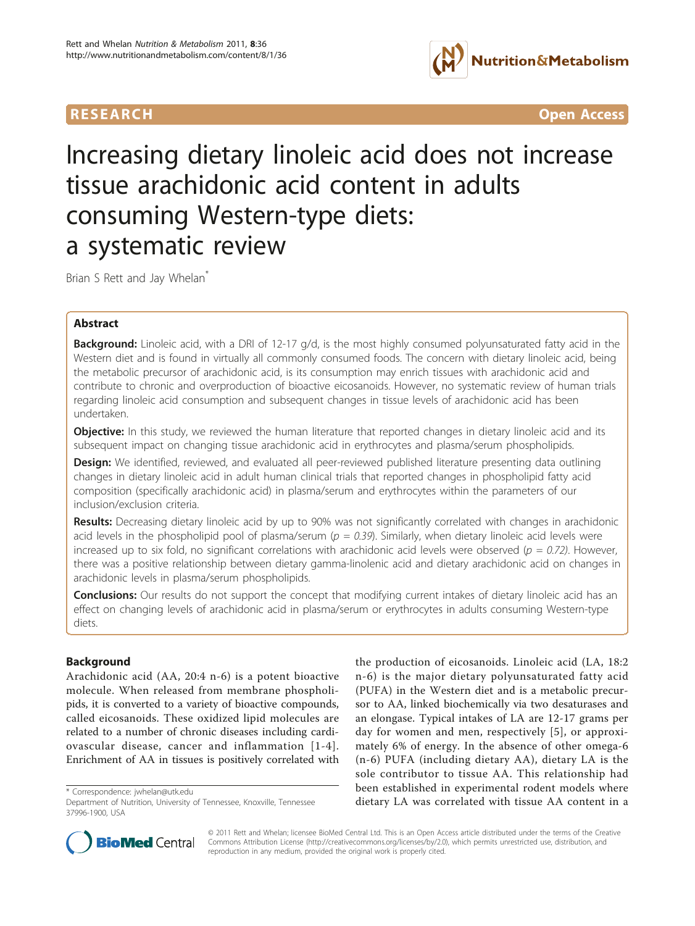

**RESEARCH CONTROL** CONTROL CONTROL CONTROL CONTROL CONTROL CONTROL CONTROL CONTROL CONTROL CONTROL CONTROL CONTROL CONTROL CONTROL CONTROL CONTROL CONTROL CONTROL CONTROL CONTROL CONTROL CONTROL CONTROL CONTROL CONTROL CON

# Increasing dietary linoleic acid does not increase tissue arachidonic acid content in adults consuming Western-type diets: a systematic review

Brian S Rett and Jay Whelan<sup>\*</sup>

# Abstract

Background: Linoleic acid, with a DRI of 12-17 g/d, is the most highly consumed polyunsaturated fatty acid in the Western diet and is found in virtually all commonly consumed foods. The concern with dietary linoleic acid, being the metabolic precursor of arachidonic acid, is its consumption may enrich tissues with arachidonic acid and contribute to chronic and overproduction of bioactive eicosanoids. However, no systematic review of human trials regarding linoleic acid consumption and subsequent changes in tissue levels of arachidonic acid has been undertaken.

**Objective:** In this study, we reviewed the human literature that reported changes in dietary linoleic acid and its subsequent impact on changing tissue arachidonic acid in erythrocytes and plasma/serum phospholipids.

**Design:** We identified, reviewed, and evaluated all peer-reviewed published literature presenting data outlining changes in dietary linoleic acid in adult human clinical trials that reported changes in phospholipid fatty acid composition (specifically arachidonic acid) in plasma/serum and erythrocytes within the parameters of our inclusion/exclusion criteria.

Results: Decreasing dietary linoleic acid by up to 90% was not significantly correlated with changes in arachidonic acid levels in the phospholipid pool of plasma/serum ( $p = 0.39$ ). Similarly, when dietary linoleic acid levels were increased up to six fold, no significant correlations with arachidonic acid levels were observed ( $p = 0.72$ ). However, there was a positive relationship between dietary gamma-linolenic acid and dietary arachidonic acid on changes in arachidonic levels in plasma/serum phospholipids.

**Conclusions:** Our results do not support the concept that modifying current intakes of dietary linoleic acid has an effect on changing levels of arachidonic acid in plasma/serum or erythrocytes in adults consuming Western-type diets.

# Background

Arachidonic acid (AA, 20:4 n-6) is a potent bioactive molecule. When released from membrane phospholipids, it is converted to a variety of bioactive compounds, called eicosanoids. These oxidized lipid molecules are related to a number of chronic diseases including cardiovascular disease, cancer and inflammation [[1](#page-13-0)-[4\]](#page-13-0). Enrichment of AA in tissues is positively correlated with

\* Correspondence: [jwhelan@utk.edu](mailto:jwhelan@utk.edu)

the production of eicosanoids. Linoleic acid (LA, 18:2 n-6) is the major dietary polyunsaturated fatty acid (PUFA) in the Western diet and is a metabolic precursor to AA, linked biochemically via two desaturases and an elongase. Typical intakes of LA are 12-17 grams per day for women and men, respectively [[5\]](#page-13-0), or approximately 6% of energy. In the absence of other omega-6 (n-6) PUFA (including dietary AA), dietary LA is the sole contributor to tissue AA. This relationship had been established in experimental rodent models where dietary LA was correlated with tissue AA content in a



© 2011 Rett and Whelan; licensee BioMed Central Ltd. This is an Open Access article distributed under the terms of the Creative Commons Attribution License [\(http://creativecommons.org/licenses/by/2.0](http://creativecommons.org/licenses/by/2.0)), which permits unrestricted use, distribution, and reproduction in any medium, provided the original work is properly cited.

Department of Nutrition, University of Tennessee, Knoxville, Tennessee 37996-1900, USA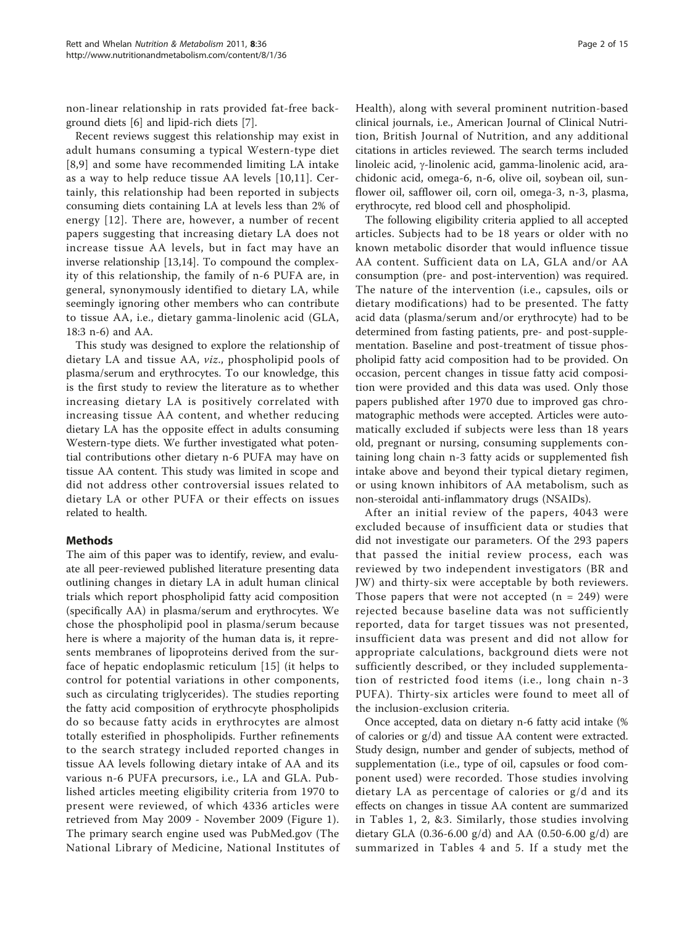non-linear relationship in rats provided fat-free background diets [[6\]](#page-13-0) and lipid-rich diets [\[7](#page-13-0)].

Recent reviews suggest this relationship may exist in adult humans consuming a typical Western-type diet [[8](#page-13-0),[9\]](#page-13-0) and some have recommended limiting LA intake as a way to help reduce tissue AA levels [\[10,11](#page-13-0)]. Certainly, this relationship had been reported in subjects consuming diets containing LA at levels less than 2% of energy [[12](#page-13-0)]. There are, however, a number of recent papers suggesting that increasing dietary LA does not increase tissue AA levels, but in fact may have an inverse relationship [\[13,14](#page-13-0)]. To compound the complexity of this relationship, the family of n-6 PUFA are, in general, synonymously identified to dietary LA, while seemingly ignoring other members who can contribute to tissue AA, i.e., dietary gamma-linolenic acid (GLA, 18:3 n-6) and AA.

This study was designed to explore the relationship of dietary LA and tissue AA, viz., phospholipid pools of plasma/serum and erythrocytes. To our knowledge, this is the first study to review the literature as to whether increasing dietary LA is positively correlated with increasing tissue AA content, and whether reducing dietary LA has the opposite effect in adults consuming Western-type diets. We further investigated what potential contributions other dietary n-6 PUFA may have on tissue AA content. This study was limited in scope and did not address other controversial issues related to dietary LA or other PUFA or their effects on issues related to health.

# Methods

The aim of this paper was to identify, review, and evaluate all peer-reviewed published literature presenting data outlining changes in dietary LA in adult human clinical trials which report phospholipid fatty acid composition (specifically AA) in plasma/serum and erythrocytes. We chose the phospholipid pool in plasma/serum because here is where a majority of the human data is, it represents membranes of lipoproteins derived from the surface of hepatic endoplasmic reticulum [[15\]](#page-13-0) (it helps to control for potential variations in other components, such as circulating triglycerides). The studies reporting the fatty acid composition of erythrocyte phospholipids do so because fatty acids in erythrocytes are almost totally esterified in phospholipids. Further refinements to the search strategy included reported changes in tissue AA levels following dietary intake of AA and its various n-6 PUFA precursors, i.e., LA and GLA. Published articles meeting eligibility criteria from 1970 to present were reviewed, of which 4336 articles were retrieved from May 2009 - November 2009 (Figure [1](#page-2-0)). The primary search engine used was PubMed.gov (The National Library of Medicine, National Institutes of Health), along with several prominent nutrition-based clinical journals, i.e., American Journal of Clinical Nutrition, British Journal of Nutrition, and any additional citations in articles reviewed. The search terms included linoleic acid, g-linolenic acid, gamma-linolenic acid, arachidonic acid, omega-6, n-6, olive oil, soybean oil, sunflower oil, safflower oil, corn oil, omega-3, n-3, plasma, erythrocyte, red blood cell and phospholipid.

The following eligibility criteria applied to all accepted articles. Subjects had to be 18 years or older with no known metabolic disorder that would influence tissue AA content. Sufficient data on LA, GLA and/or AA consumption (pre- and post-intervention) was required. The nature of the intervention (i.e., capsules, oils or dietary modifications) had to be presented. The fatty acid data (plasma/serum and/or erythrocyte) had to be determined from fasting patients, pre- and post-supplementation. Baseline and post-treatment of tissue phospholipid fatty acid composition had to be provided. On occasion, percent changes in tissue fatty acid composition were provided and this data was used. Only those papers published after 1970 due to improved gas chromatographic methods were accepted. Articles were automatically excluded if subjects were less than 18 years old, pregnant or nursing, consuming supplements containing long chain n-3 fatty acids or supplemented fish intake above and beyond their typical dietary regimen, or using known inhibitors of AA metabolism, such as non-steroidal anti-inflammatory drugs (NSAIDs).

After an initial review of the papers, 4043 were excluded because of insufficient data or studies that did not investigate our parameters. Of the 293 papers that passed the initial review process, each was reviewed by two independent investigators (BR and JW) and thirty-six were acceptable by both reviewers. Those papers that were not accepted  $(n = 249)$  were rejected because baseline data was not sufficiently reported, data for target tissues was not presented, insufficient data was present and did not allow for appropriate calculations, background diets were not sufficiently described, or they included supplementation of restricted food items (i.e., long chain n-3 PUFA). Thirty-six articles were found to meet all of the inclusion-exclusion criteria.

Once accepted, data on dietary n-6 fatty acid intake (% of calories or g/d) and tissue AA content were extracted. Study design, number and gender of subjects, method of supplementation (i.e., type of oil, capsules or food component used) were recorded. Those studies involving dietary LA as percentage of calories or g/d and its effects on changes in tissue AA content are summarized in Tables [1,](#page-3-0) [2](#page-4-0), &[3](#page-5-0). Similarly, those studies involving dietary GLA (0.36-6.00 g/d) and AA (0.50-6.00 g/d) are summarized in Tables [4](#page-5-0) and [5.](#page-6-0) If a study met the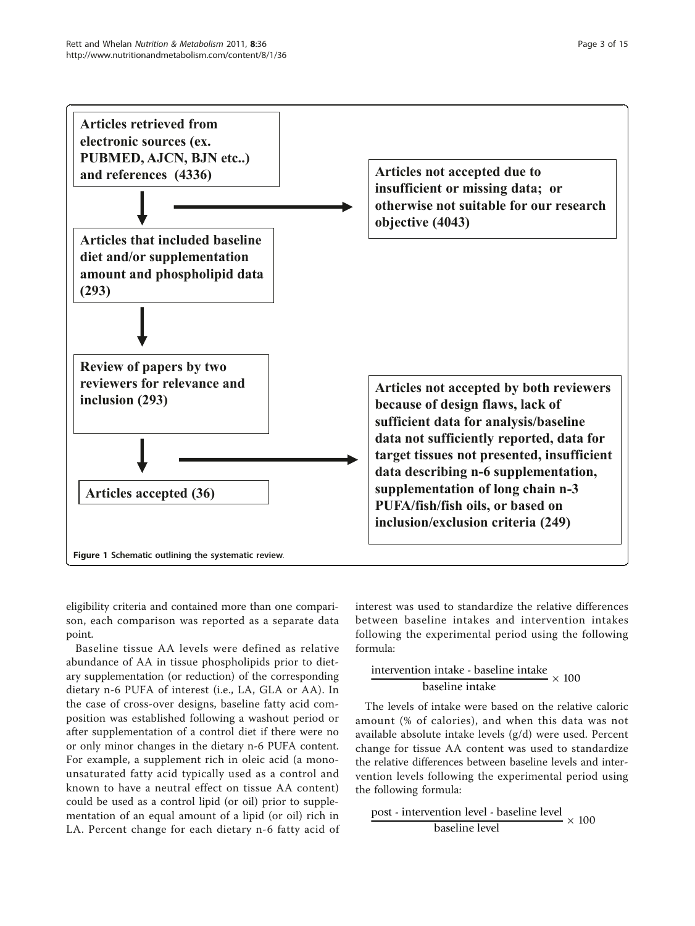<span id="page-2-0"></span>

eligibility criteria and contained more than one comparison, each comparison was reported as a separate data point.

Baseline tissue AA levels were defined as relative abundance of AA in tissue phospholipids prior to dietary supplementation (or reduction) of the corresponding dietary n-6 PUFA of interest (i.e., LA, GLA or AA). In the case of cross-over designs, baseline fatty acid composition was established following a washout period or after supplementation of a control diet if there were no or only minor changes in the dietary n-6 PUFA content. For example, a supplement rich in oleic acid (a monounsaturated fatty acid typically used as a control and known to have a neutral effect on tissue AA content) could be used as a control lipid (or oil) prior to supplementation of an equal amount of a lipid (or oil) rich in LA. Percent change for each dietary n-6 fatty acid of

interest was used to standardize the relative differences between baseline intakes and intervention intakes following the experimental period using the following formula:

$$
\frac{intervention\ intake - baseline\ intake}{baseline\ intake} \times 100
$$

The levels of intake were based on the relative caloric amount (% of calories), and when this data was not available absolute intake levels (g/d) were used. Percent change for tissue AA content was used to standardize the relative differences between baseline levels and intervention levels following the experimental period using the following formula:

post - intervention level - baseline level baseline level <sup>×</sup> <sup>100</sup>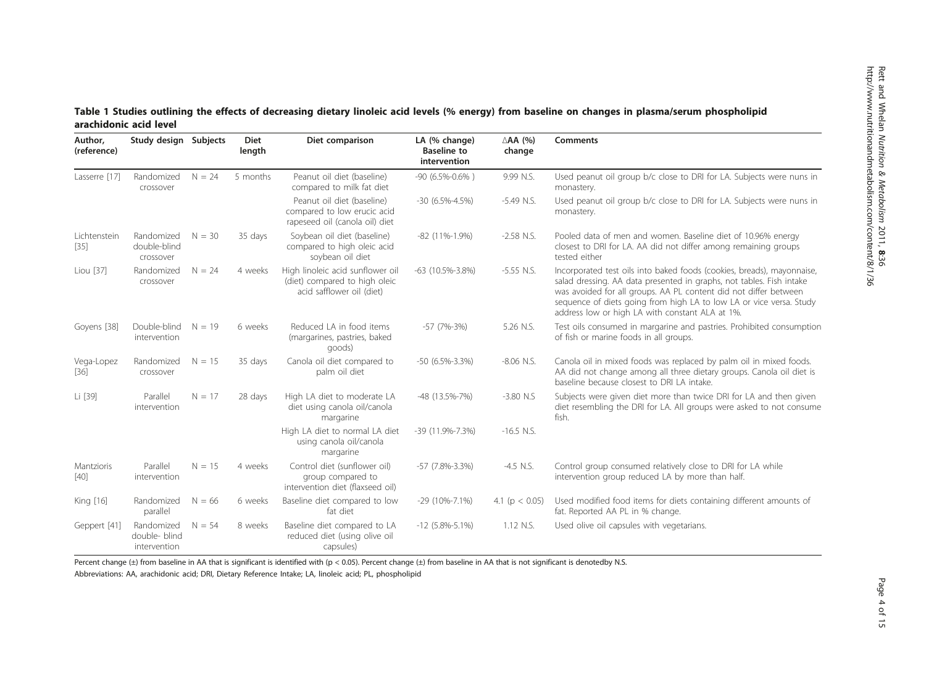<span id="page-3-0"></span>

| Table 1 Studies outlining the effects of decreasing dietary linoleic acid levels (% energy) from baseline on changes in plasma/serum phospholipid |  |  |  |
|---------------------------------------------------------------------------------------------------------------------------------------------------|--|--|--|
| arachidonic acid level                                                                                                                            |  |  |  |

| Author,<br>(reference) | Study design Subjects                       |          | <b>Diet</b><br>length | Diet comparison                                                                                                                        | LA (% change)<br><b>Baseline to</b><br>intervention | $\triangle$ AA (%)<br>change                                                                                                    | <b>Comments</b>                                                                                                                                                                                                                                                                                                                              |
|------------------------|---------------------------------------------|----------|-----------------------|----------------------------------------------------------------------------------------------------------------------------------------|-----------------------------------------------------|---------------------------------------------------------------------------------------------------------------------------------|----------------------------------------------------------------------------------------------------------------------------------------------------------------------------------------------------------------------------------------------------------------------------------------------------------------------------------------------|
| Lasserre [17]          | Randomized<br>crossover                     | $N = 24$ | 5 months              | Peanut oil diet (baseline)<br>compared to milk fat diet                                                                                | $-90(6.5\% - 0.6\%)$                                | 9.99 N.S.                                                                                                                       | Used peanut oil group b/c close to DRI for LA. Subjects were nuns in<br>monastery.                                                                                                                                                                                                                                                           |
|                        |                                             |          |                       | Peanut oil diet (baseline)<br>compared to low erucic acid<br>rapeseed oil (canola oil) diet                                            | $-30(6.5\% - 4.5\%)$                                | $-5.49$ N.S.                                                                                                                    | Used peanut oil group b/c close to DRI for LA. Subjects were nuns in<br>monastery.                                                                                                                                                                                                                                                           |
| Lichtenstein<br>$[35]$ | Randomized<br>double-blind<br>crossover     | $N = 30$ | 35 days               | Soybean oil diet (baseline)<br>$-2.58$ N.S.<br>$-82(11\% - 1.9\%)$<br>compared to high oleic acid<br>soybean oil diet<br>tested either |                                                     | Pooled data of men and women. Baseline diet of 10.96% energy<br>closest to DRI for LA. AA did not differ among remaining groups |                                                                                                                                                                                                                                                                                                                                              |
| Liou [37]              | Randomized<br>crossover                     | $N = 24$ | 4 weeks               | High linoleic acid sunflower oil<br>(diet) compared to high oleic<br>acid safflower oil (diet)                                         | $-5.55$ N.S.<br>$-63(10.5\% - 3.8\%)$               |                                                                                                                                 | Incorporated test oils into baked foods (cookies, breads), mayonnaise,<br>salad dressing. AA data presented in graphs, not tables. Fish intake<br>was avoided for all groups. AA PL content did not differ between<br>sequence of diets going from high LA to low LA or vice versa. Study<br>address low or high LA with constant ALA at 1%. |
| Goyens [38]            | Double-blind<br>intervention                | $N = 19$ | 6 weeks               | Reduced LA in food items<br>(margarines, pastries, baked<br>goods)                                                                     | $-57(7% - 3%)$                                      | 5.26 N.S.                                                                                                                       | Test oils consumed in margarine and pastries. Prohibited consumption<br>of fish or marine foods in all groups.                                                                                                                                                                                                                               |
| Vega-Lopez<br>$[36]$   | Randomized<br>crossover                     | $N = 15$ | 35 days               | Canola oil diet compared to<br>palm oil diet                                                                                           | $-50(6.5\% - 3.3\%)$                                | $-8.06$ N.S.                                                                                                                    | Canola oil in mixed foods was replaced by palm oil in mixed foods.<br>AA did not change among all three dietary groups. Canola oil diet is<br>baseline because closest to DRI LA intake.                                                                                                                                                     |
| Li [39]                | Parallel<br>intervention                    | $N = 17$ | 28 days               | High LA diet to moderate LA<br>diet using canola oil/canola<br>margarine                                                               | -48 (13.5%-7%)                                      | $-3.80$ N.S                                                                                                                     | Subjects were given diet more than twice DRI for LA and then given<br>diet resembling the DRI for LA. All groups were asked to not consume<br>fish.                                                                                                                                                                                          |
|                        |                                             |          |                       | High LA diet to normal LA diet<br>using canola oil/canola<br>margarine                                                                 | -39 (11.9%-7.3%)                                    | $-16.5$ N.S.                                                                                                                    |                                                                                                                                                                                                                                                                                                                                              |
| Mantzioris<br>$[40]$   | Parallel<br>intervention                    | $N = 15$ | 4 weeks               | Control diet (sunflower oil)<br>group compared to<br>intervention diet (flaxseed oil)                                                  | -57 (7.8%-3.3%)                                     | $-4.5$ N.S.                                                                                                                     | Control group consumed relatively close to DRI for LA while<br>intervention group reduced LA by more than half.                                                                                                                                                                                                                              |
| King [16]              | Randomized<br>parallel                      | $N = 66$ | 6 weeks               | Baseline diet compared to low<br>fat diet                                                                                              | $-29(10\% - 7.1\%)$                                 | 4.1 ( $p < 0.05$ )                                                                                                              | Used modified food items for diets containing different amounts of<br>fat. Reported AA PL in % change.                                                                                                                                                                                                                                       |
| Geppert [41]           | Randomized<br>double- blind<br>intervention | $N = 54$ | 8 weeks               | Baseline diet compared to LA<br>reduced diet (using olive oil<br>capsules)                                                             | $-12(5.8\% - 5.1\%)$                                | 1.12 N.S.                                                                                                                       | Used olive oil capsules with vegetarians.                                                                                                                                                                                                                                                                                                    |

Percent change (±) from baseline in AA that is significant is identified with (p < 0.05). Percent change (±) from baseline in AA that is not significant is denotedby N.S.

Abbreviations: AA, arachidonic acid; DRI, Dietary Reference Intake; LA, linoleic acid; PL, phospholipid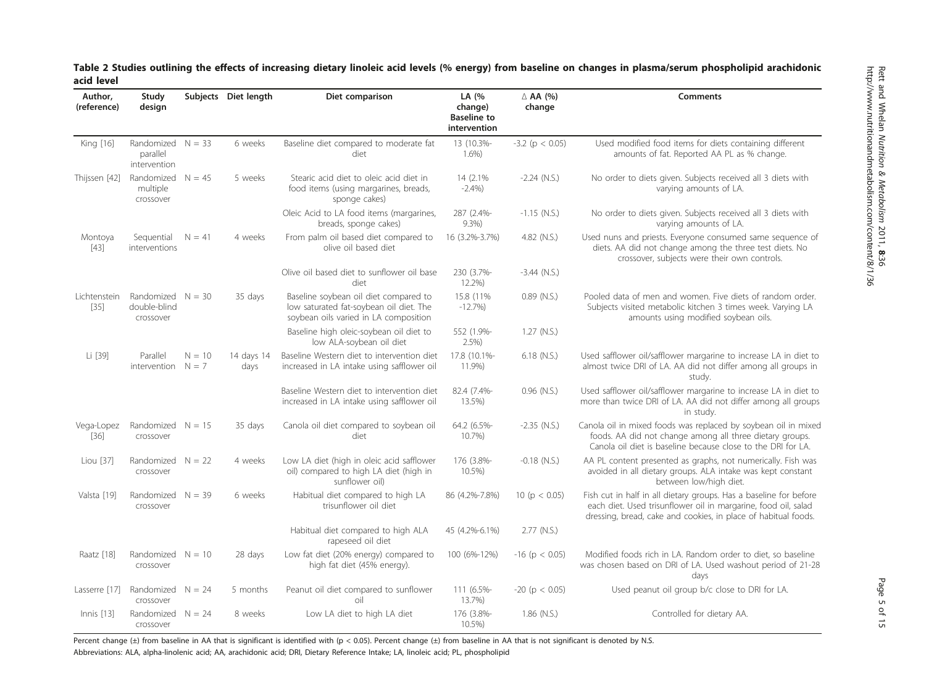| Author,<br>(reference) | Study<br>design                                  |                     | Subjects Diet length | Diet comparison                                                                                                           | LA (%<br>change)<br><b>Baseline to</b><br>intervention | $\triangle$ AA (%)<br>change | <b>Comments</b>                                                                                                                                                                                       |  |  |
|------------------------|--------------------------------------------------|---------------------|----------------------|---------------------------------------------------------------------------------------------------------------------------|--------------------------------------------------------|------------------------------|-------------------------------------------------------------------------------------------------------------------------------------------------------------------------------------------------------|--|--|
| King [16]              | Randomized $N = 33$<br>parallel<br>intervention  |                     | 6 weeks              | Baseline diet compared to moderate fat<br>diet                                                                            | 13 (10.3%-<br>1.6%                                     | $-3.2$ (p < 0.05)            | Used modified food items for diets containing different<br>amounts of fat. Reported AA PL as % change.                                                                                                |  |  |
| Thijssen [42]          | Randomized $N = 45$<br>multiple<br>crossover     |                     | 5 weeks              | Stearic acid diet to oleic acid diet in<br>food items (using margarines, breads,<br>sponge cakes)                         | 14 (2.1%)<br>$-2.4%$                                   | $-2.24$ (N.S.)               | No order to diets given. Subjects received all 3 diets with<br>varying amounts of LA.                                                                                                                 |  |  |
|                        |                                                  |                     |                      | Oleic Acid to LA food items (margarines,<br>breads, sponge cakes)                                                         | 287 (2.4%-<br>9.3%                                     | $-1.15$ (N.S.)               | No order to diets given. Subjects received all 3 diets with<br>varying amounts of LA.                                                                                                                 |  |  |
| Montoya<br>$[43]$      | Sequential<br>interventions                      | $N = 41$            | 4 weeks              | From palm oil based diet compared to<br>olive oil based diet                                                              | 16 (3.2%-3.7%)                                         | 4.82 (N.S.)                  | Used nuns and priests. Everyone consumed same sequence of<br>diets. AA did not change among the three test diets. No<br>crossover, subjects were their own controls.                                  |  |  |
|                        |                                                  |                     |                      | Olive oil based diet to sunflower oil base<br>diet                                                                        | 230 (3.7%-<br>$12.2\%$                                 | $-3.44$ (N.S.)               |                                                                                                                                                                                                       |  |  |
| Lichtenstein<br>$[35]$ | Randomized $N = 30$<br>double-blind<br>crossover |                     | 35 days              | Baseline soybean oil diet compared to<br>low saturated fat-soybean oil diet. The<br>soybean oils varied in LA composition | 15.8 (11%)<br>$-12.7%$                                 | $0.89$ (N.S.)                | Pooled data of men and women. Five diets of random order.<br>Subjects visited metabolic kitchen 3 times week. Varying LA<br>amounts using modified soybean oils.                                      |  |  |
|                        |                                                  |                     |                      | Baseline high oleic-soybean oil diet to<br>low ALA-soybean oil diet                                                       | 552 (1.9%-<br>2.5%                                     | 1.27 (N.S.)                  |                                                                                                                                                                                                       |  |  |
| Li [39]                | Parallel<br>intervention                         | $N = 10$<br>$N = 7$ | 14 days 14<br>days   | Baseline Western diet to intervention diet<br>increased in LA intake using safflower oil                                  | 17.8 (10.1%-<br>11.9%)                                 | $6.18$ (N.S.)                | Used safflower oil/safflower margarine to increase LA in diet to<br>almost twice DRI of LA. AA did not differ among all groups in<br>study.                                                           |  |  |
|                        |                                                  |                     |                      | Baseline Western diet to intervention diet<br>increased in LA intake using safflower oil                                  | 82.4 (7.4%-<br>13.5%)                                  | $0.96$ (N.S.)                | Used safflower oil/safflower margarine to increase LA in diet to<br>more than twice DRI of LA. AA did not differ among all groups<br>in study.                                                        |  |  |
| Vega-Lopez<br>$[36]$   | Randomized $N = 15$<br>crossover                 |                     | 35 days              | Canola oil diet compared to soybean oil<br>diet                                                                           | 64.2 (6.5%-<br>10.7%                                   | $-2.35$ (N.S.)               | Canola oil in mixed foods was replaced by soybean oil in mixed<br>foods. AA did not change among all three dietary groups.<br>Canola oil diet is baseline because close to the DRI for LA.            |  |  |
| Liou [37]              | Randomized $N = 22$<br>crossover                 |                     | 4 weeks              | Low LA diet (high in oleic acid safflower<br>oil) compared to high LA diet (high in<br>sunflower oil)                     | 176 (3.8%-<br>10.5%)                                   | $-0.18$ (N.S.)               | AA PL content presented as graphs, not numerically. Fish was<br>avoided in all dietary groups. ALA intake was kept constant<br>between low/high diet.                                                 |  |  |
| Valsta [19]            | Randomized $N = 39$<br>crossover                 |                     | 6 weeks              | Habitual diet compared to high LA<br>trisunflower oil diet                                                                | 86 (4.2%-7.8%)                                         | 10 ( $p < 0.05$ )            | Fish cut in half in all dietary groups. Has a baseline for before<br>each diet. Used trisunflower oil in margarine, food oil, salad<br>dressing, bread, cake and cookies, in place of habitual foods. |  |  |
|                        |                                                  |                     |                      | Habitual diet compared to high ALA<br>rapeseed oil diet                                                                   | 45 (4.2%-6.1%)                                         | 2.77 (N.S.)                  |                                                                                                                                                                                                       |  |  |
| Raatz [18]             | Randomized $N = 10$<br>crossover                 |                     | 28 days              | Low fat diet (20% energy) compared to<br>high fat diet (45% energy).                                                      | 100 (6%-12%)                                           | $-16$ (p < 0.05)             | Modified foods rich in LA. Random order to diet, so baseline<br>was chosen based on DRI of LA. Used washout period of 21-28<br>days                                                                   |  |  |
| Lasserre [17]          | Randomized $N = 24$<br>crossover                 |                     | 5 months             | Peanut oil diet compared to sunflower<br>oil                                                                              | 111 (6.5%-<br>13.7%)                                   | $-20$ (p < 0.05)             | Used peanut oil group b/c close to DRI for LA.                                                                                                                                                        |  |  |
| Innis $[13]$           | Randomized $N = 24$<br>crossover                 |                     | 8 weeks              | Low LA diet to high LA diet                                                                                               | 176 (3.8%-<br>10.5%)                                   | $1.86$ (N.S.)                | Controlled for dietary AA.                                                                                                                                                                            |  |  |

<span id="page-4-0"></span>Table 2 Studies outlining the effects of increasing dietary linoleic acid levels (% energy) from baseline on changes in plasma/serum phospholipid arachidonic acid level

Percent change (±) from baseline in AA that is significant is identified with (p < 0.05). Percent change (±) from baseline in AA that is not significant is denoted by N.S. Abbreviations: ALA, alpha-linolenic acid; AA, arachidonic acid; DRI, Dietary Reference Intake; LA, linoleic acid; PL, phospholipid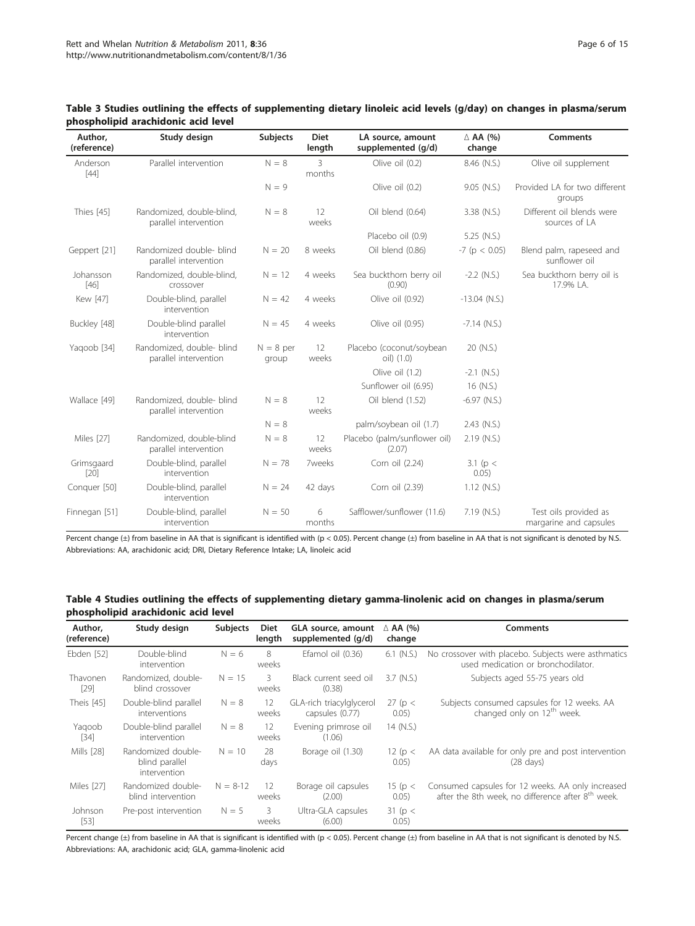| Author,<br>(reference) | Study design                                       | <b>Subjects</b>      | <b>Diet</b><br>length      | LA source, amount<br>supplemented (g/d) | $\triangle$ AA (%)<br>change | <b>Comments</b>                                 |
|------------------------|----------------------------------------------------|----------------------|----------------------------|-----------------------------------------|------------------------------|-------------------------------------------------|
| Anderson<br>$[44]$     | Parallel intervention                              | $N = 8$              | 3<br>months                | Olive oil (0.2)                         | 8.46 (N.S.)                  | Olive oil supplement                            |
|                        |                                                    | $N = 9$              |                            | Olive oil (0.2)                         | $9.05$ (N.S.)                | Provided LA for two different<br>groups         |
| Thies [45]             | Randomized, double-blind,<br>parallel intervention | $N = 8$              | 12<br>weeks                | Oil blend (0.64)                        | 3.38 (N.S.)                  | Different oil blends were<br>sources of LA      |
|                        |                                                    |                      |                            | Placebo oil (0.9)                       | 5.25 (N.S.)                  |                                                 |
| Geppert [21]           | Randomized double- blind<br>parallel intervention  | $N = 20$             | 8 weeks                    | Oil blend (0.86)                        | $-7$ (p < 0.05)              | Blend palm, rapeseed and<br>sunflower oil       |
| Johansson<br>$[46]$    | Randomized, double-blind,<br>crossover             | $N = 12$             | 4 weeks                    | Sea buckthorn berry oil<br>(0.90)       | $-2.2$ (N.S.)                | Sea buckthorn berry oil is<br>17.9% LA.         |
| Kew [47]               | Double-blind, parallel<br>intervention             | $N = 42$             | 4 weeks                    | Olive oil (0.92)                        | $-13.04$ (N.S.)              |                                                 |
| Buckley [48]           | Double-blind parallel<br>intervention              | $N = 45$             | 4 weeks                    | Olive oil (0.95)                        | $-7.14$ (N.S.)               |                                                 |
| Yaqoob [34]            | Randomized, double- blind<br>parallel intervention | $N = 8$ per<br>group | $12 \overline{ }$<br>weeks | Placebo (coconut/soybean<br>oil) (1.0)  | 20 (N.S.)                    |                                                 |
|                        |                                                    |                      |                            | Olive oil (1.2)                         | $-2.1$ (N.S.)                |                                                 |
|                        |                                                    |                      |                            | Sunflower oil (6.95)                    | 16 (N.S.)                    |                                                 |
| Wallace [49]           | Randomized, double- blind<br>parallel intervention | $N = 8$              | 12<br>weeks                | Oil blend (1.52)                        | $-6.97$ (N.S.)               |                                                 |
|                        |                                                    | $N = 8$              |                            | palm/soybean oil (1.7)                  | 2.43 (N.S.)                  |                                                 |
| Miles [27]             | Randomized, double-blind<br>parallel intervention  | $N = 8$              | 12<br>weeks                | Placebo (palm/sunflower oil)<br>(2.07)  | 2.19 (N.S.)                  |                                                 |
| Grimsgaard<br>$[20]$   | Double-blind, parallel<br>intervention             | $N = 78$             | 7weeks                     | Corn oil (2.24)                         | 3.1 ( $p <$<br>0.05)         |                                                 |
| Conquer [50]           | Double-blind, parallel<br>intervention             | $N = 24$             | 42 days                    | Corn oil (2.39)                         | $1.12$ (N.S.)                |                                                 |
| Finnegan [51]          | Double-blind, parallel<br>intervention             | $N = 50$             | 6<br>months                | Safflower/sunflower (11.6)              | 7.19 (N.S.)                  | Test oils provided as<br>margarine and capsules |

# <span id="page-5-0"></span>Table 3 Studies outlining the effects of supplementing dietary linoleic acid levels (g/day) on changes in plasma/serum phospholipid arachidonic acid level

Percent change (±) from baseline in AA that is significant is identified with (p < 0.05). Percent change (±) from baseline in AA that is not significant is denoted by N.S. Abbreviations: AA, arachidonic acid; DRI, Dietary Reference Intake; LA, linoleic acid

# Table 4 Studies outlining the effects of supplementing dietary gamma-linolenic acid on changes in plasma/serum phospholipid arachidonic acid level

| Author,<br>(reference) | Study design                                         | <b>Subjects</b> | <b>Diet</b><br>length | GLA source, amount<br>supplemented (g/d)    | $\triangle$ AA (%)<br>change | <b>Comments</b>                                                                                                    |
|------------------------|------------------------------------------------------|-----------------|-----------------------|---------------------------------------------|------------------------------|--------------------------------------------------------------------------------------------------------------------|
| Ebden [52]             | Double-blind<br>intervention                         | $N = 6$         | 8<br>weeks            | Efamol oil (0.36)                           | $6.1$ (N.S.)                 | No crossover with placebo. Subjects were asthmatics<br>used medication or bronchodilator.                          |
| Thavonen<br>$[29]$     | Randomized, double-<br>blind crossover               | $N = 15$        | 3<br>weeks            | Black current seed oil<br>(0.38)            | $3.7$ (N.S.)                 | Subjects aged 55-75 years old                                                                                      |
| Theis [45]             | Double-blind parallel<br>interventions               | $N = 8$         | 12<br>weeks           | GLA-rich triacylglycerol<br>capsules (0.77) | 27(p <<br>0.05)              | Subjects consumed capsules for 12 weeks. AA<br>changed only on 12 <sup>th</sup> week.                              |
| Yagoob<br>$[34]$       | Double-blind parallel<br>intervention                | $N = 8$         | 12<br>weeks           | Evening primrose oil<br>(1.06)              | 14 (N.S.)                    |                                                                                                                    |
| Mills [28]             | Randomized double-<br>blind parallel<br>intervention | $N = 10$        | 28<br>days            | Borage oil (1.30)                           | 12 ( $p <$<br>0.05)          | AA data available for only pre and post intervention<br>$(28 \text{ days})$                                        |
| Miles [27]             | Randomized double-<br>blind intervention             | $N = 8-12$      | 12<br>weeks           | Borage oil capsules<br>(2.00)               | 15 ( $p <$<br>0.05)          | Consumed capsules for 12 weeks. AA only increased<br>after the 8th week, no difference after 8 <sup>th</sup> week. |
| Johnson<br>$[53]$      | Pre-post intervention                                | $N = 5$         | 3.<br>weeks           | Ultra-GLA capsules<br>(6.00)                | 31 (p <<br>0.05)             |                                                                                                                    |

Percent change (±) from baseline in AA that is significant is identified with (p < 0.05). Percent change (±) from baseline in AA that is not significant is denoted by N.S. Abbreviations: AA, arachidonic acid; GLA, gamma-linolenic acid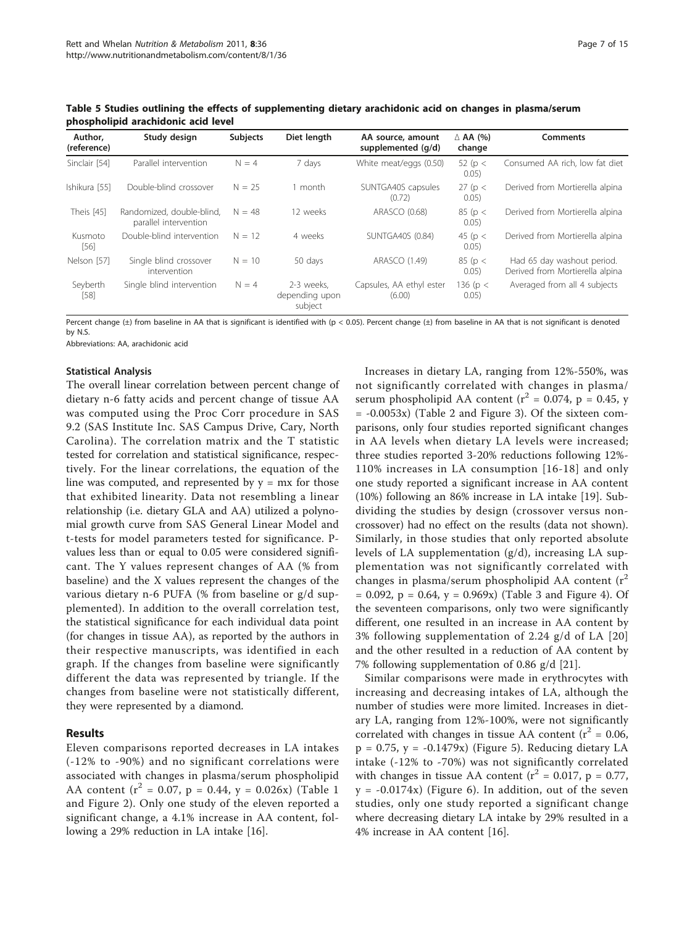| Author,<br>(reference) | Study design                                       | <b>Subjects</b> | Diet length                             | AA source, amount<br>supplemented (g/d) | $\triangle$ AA (%)<br>change | <b>Comments</b>                                               |
|------------------------|----------------------------------------------------|-----------------|-----------------------------------------|-----------------------------------------|------------------------------|---------------------------------------------------------------|
| Sinclair [54]          | Parallel intervention                              | $N = 4$         | 7 days                                  | White meat/eggs (0.50)                  | 52 ( $p <$<br>0.05)          | Consumed AA rich, low fat diet                                |
| Ishikura [55]          | Double-blind crossover                             | $N = 25$        | month                                   | SUNTGA40S capsules<br>(0.72)            | 27(p <<br>0.05)              | Derived from Mortierella alpina                               |
| Theis [45]             | Randomized, double-blind,<br>parallel intervention | $N = 48$        | 12 weeks                                | ARASCO (0.68)                           | 85(p <<br>0.05)              | Derived from Mortierella alpina                               |
| Kusmoto<br>[56]        | Double-blind intervention                          | $N = 12$        | 4 weeks                                 | SUNTGA40S (0.84)                        | 45 ( $p <$<br>0.05)          | Derived from Mortierella alpina                               |
| Nelson [57]            | Single blind crossover<br>intervention             | $N = 10$        | 50 days                                 | ARASCO (1.49)                           | 85(p <<br>0.05)              | Had 65 day washout period.<br>Derived from Mortierella alpina |
| Sevberth<br>$[58]$     | Single blind intervention                          | $N = 4$         | 2-3 weeks.<br>depending upon<br>subject | Capsules, AA ethyl ester<br>(6.00)      | 136 ( $p <$<br>0.05)         | Averaged from all 4 subjects                                  |

<span id="page-6-0"></span>Table 5 Studies outlining the effects of supplementing dietary arachidonic acid on changes in plasma/serum phospholipid arachidonic acid level

Percent change (±) from baseline in AA that is significant is identified with (p < 0.05). Percent change (±) from baseline in AA that is not significant is denoted by N.S.

Abbreviations: AA, arachidonic acid

#### Statistical Analysis

The overall linear correlation between percent change of dietary n-6 fatty acids and percent change of tissue AA was computed using the Proc Corr procedure in SAS 9.2 (SAS Institute Inc. SAS Campus Drive, Cary, North Carolina). The correlation matrix and the T statistic tested for correlation and statistical significance, respectively. For the linear correlations, the equation of the line was computed, and represented by  $y = mx$  for those that exhibited linearity. Data not resembling a linear relationship (i.e. dietary GLA and AA) utilized a polynomial growth curve from SAS General Linear Model and t-tests for model parameters tested for significance. Pvalues less than or equal to 0.05 were considered significant. The Y values represent changes of AA (% from baseline) and the X values represent the changes of the various dietary n-6 PUFA (% from baseline or g/d supplemented). In addition to the overall correlation test, the statistical significance for each individual data point (for changes in tissue AA), as reported by the authors in their respective manuscripts, was identified in each graph. If the changes from baseline were significantly different the data was represented by triangle. If the changes from baseline were not statistically different, they were represented by a diamond.

#### Results

Eleven comparisons reported decreases in LA intakes (-12% to -90%) and no significant correlations were associated with changes in plasma/serum phospholipid AA content ( $r^2$  = 0.07, p = 0.44, y = 0.026x) (Table [1](#page-3-0) and Figure [2\)](#page-7-0). Only one study of the eleven reported a significant change, a 4.1% increase in AA content, following a 29% reduction in LA intake [[16\]](#page-13-0).

Increases in dietary LA, ranging from 12%-550%, was not significantly correlated with changes in plasma/ serum phospholipid AA content ( $r^2$  = 0.074, p = 0.45, y = -0.0053x) (Table [2](#page-4-0) and Figure [3](#page-7-0)). Of the sixteen comparisons, only four studies reported significant changes in AA levels when dietary LA levels were increased; three studies reported 3-20% reductions following 12%- 110% increases in LA consumption [\[16-18](#page-13-0)] and only one study reported a significant increase in AA content (10%) following an 86% increase in LA intake [[19\]](#page-13-0). Subdividing the studies by design (crossover versus noncrossover) had no effect on the results (data not shown). Similarly, in those studies that only reported absolute levels of LA supplementation (g/d), increasing LA supplementation was not significantly correlated with changes in plasma/serum phospholipid AA content  $(r^2)$  $= 0.092$ ,  $p = 0.64$ ,  $y = 0.969x$ ) (Table [3](#page-5-0) and Figure [4\)](#page-8-0). Of the seventeen comparisons, only two were significantly different, one resulted in an increase in AA content by 3% following supplementation of 2.24 g/d of LA [[20](#page-13-0)] and the other resulted in a reduction of AA content by 7% following supplementation of 0.86 g/d [[21](#page-13-0)].

Similar comparisons were made in erythrocytes with increasing and decreasing intakes of LA, although the number of studies were more limited. Increases in dietary LA, ranging from 12%-100%, were not significantly correlated with changes in tissue AA content ( $r^2$  = 0.06,  $p = 0.75$ ,  $y = -0.1479x$ ) (Figure [5](#page-8-0)). Reducing dietary LA intake (-12% to -70%) was not significantly correlated with changes in tissue AA content ( $r^2$  = 0.017, p = 0.77,  $y = -0.0174x$ ) (Figure [6](#page-9-0)). In addition, out of the seven studies, only one study reported a significant change where decreasing dietary LA intake by 29% resulted in a 4% increase in AA content [\[16](#page-13-0)].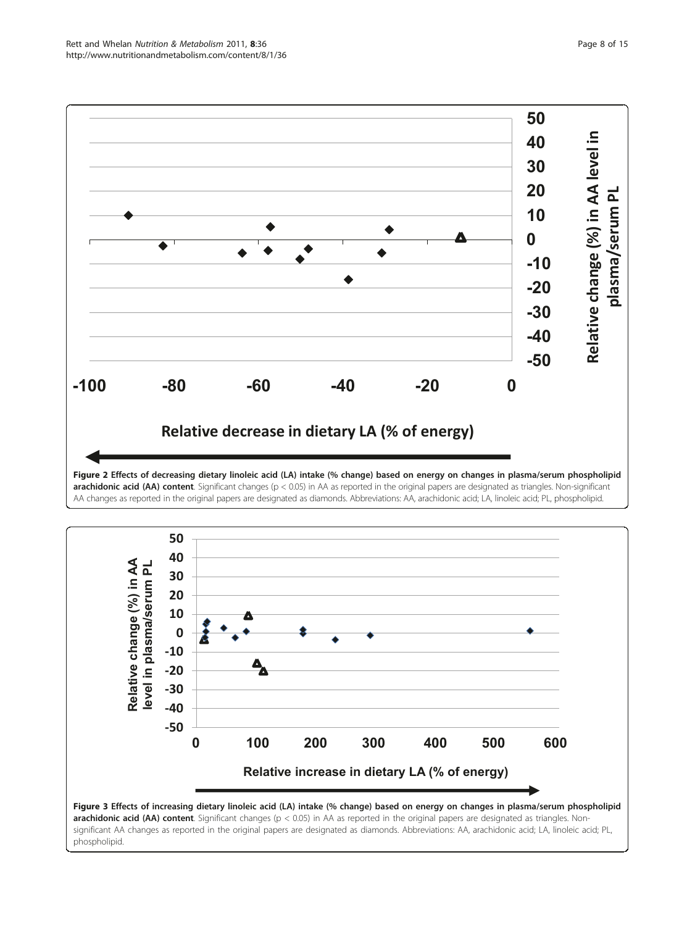phospholipid.

<span id="page-7-0"></span>

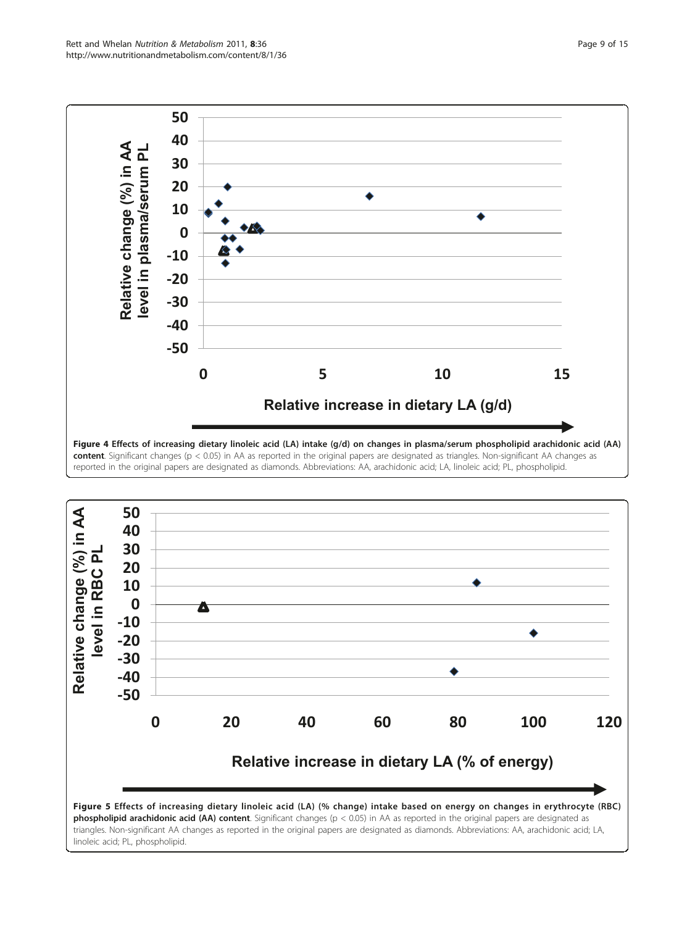<span id="page-8-0"></span>

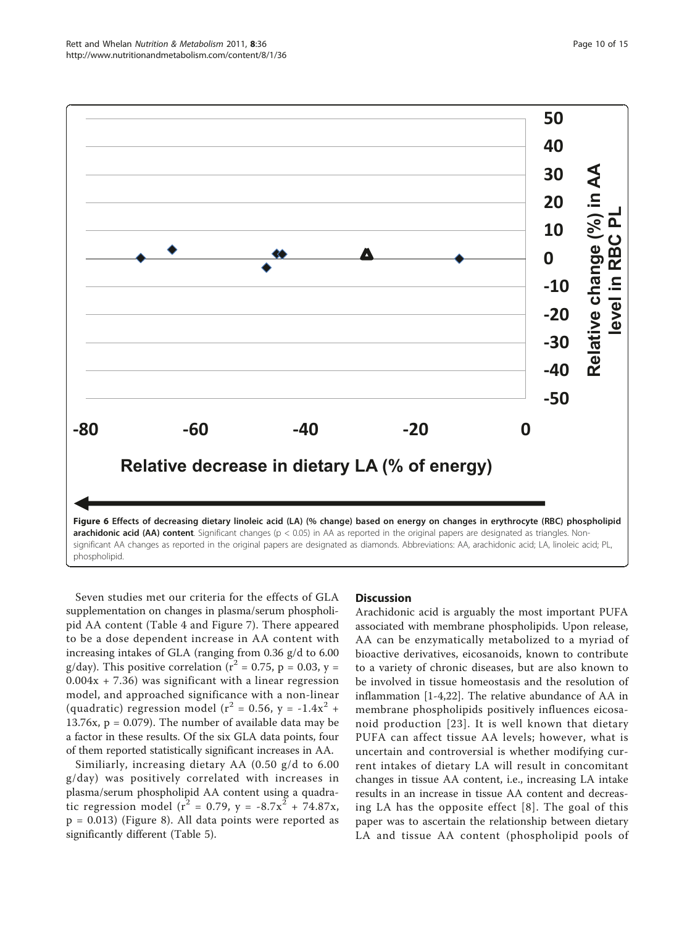<span id="page-9-0"></span>

Seven studies met our criteria for the effects of GLA supplementation on changes in plasma/serum phospholipid AA content (Table [4](#page-5-0) and Figure [7](#page-10-0)). There appeared to be a dose dependent increase in AA content with increasing intakes of GLA (ranging from 0.36 g/d to 6.00 g/day). This positive correlation ( $r^2$  = 0.75, p = 0.03, y =  $0.004x + 7.36$ ) was significant with a linear regression model, and approached significance with a non-linear (quadratic) regression model ( $r^2$  = 0.56, y = -1.4x<sup>2</sup> + 13.76x,  $p = 0.079$ ). The number of available data may be a factor in these results. Of the six GLA data points, four of them reported statistically significant increases in AA.

Similiarly, increasing dietary AA (0.50 g/d to 6.00 g/day) was positively correlated with increases in plasma/serum phospholipid AA content using a quadratic regression model ( $r^2 = 0.79$ ,  $y = -8.7x^2 + 74.87x$ ,  $p = 0.013$ ) (Figure [8\)](#page-11-0). All data points were reported as significantly different (Table [5](#page-6-0)).

# **Discussion**

Arachidonic acid is arguably the most important PUFA associated with membrane phospholipids. Upon release, AA can be enzymatically metabolized to a myriad of bioactive derivatives, eicosanoids, known to contribute to a variety of chronic diseases, but are also known to be involved in tissue homeostasis and the resolution of inflammation [[1-4,22](#page-13-0)]. The relative abundance of AA in membrane phospholipids positively influences eicosanoid production [[23](#page-13-0)]. It is well known that dietary PUFA can affect tissue AA levels; however, what is uncertain and controversial is whether modifying current intakes of dietary LA will result in concomitant changes in tissue AA content, i.e., increasing LA intake results in an increase in tissue AA content and decreasing LA has the opposite effect [[8\]](#page-13-0). The goal of this paper was to ascertain the relationship between dietary LA and tissue AA content (phospholipid pools of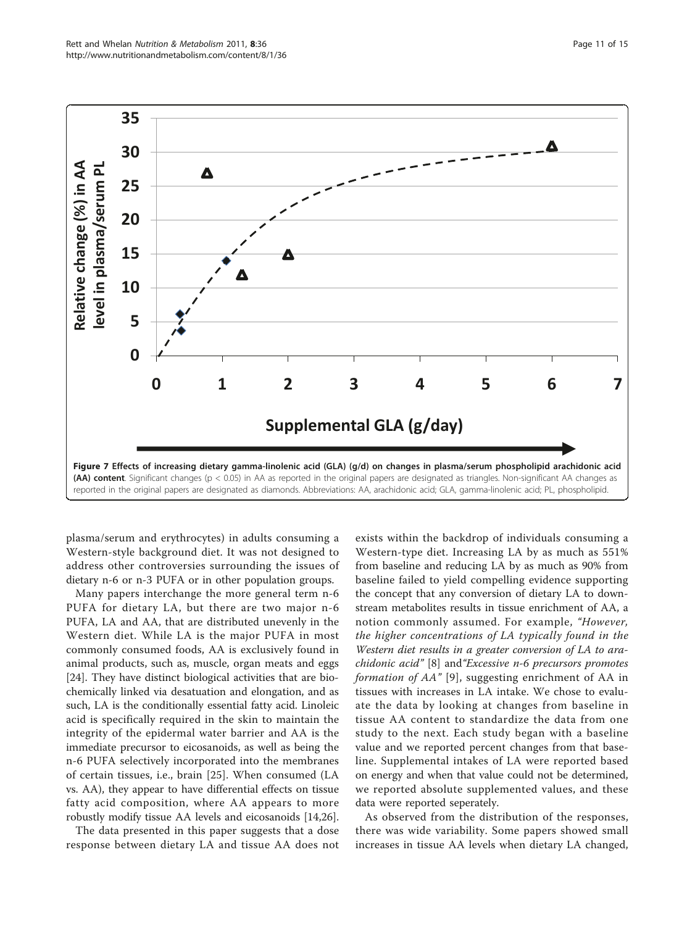<span id="page-10-0"></span>

plasma/serum and erythrocytes) in adults consuming a Western-style background diet. It was not designed to address other controversies surrounding the issues of dietary n-6 or n-3 PUFA or in other population groups.

Many papers interchange the more general term n-6 PUFA for dietary LA, but there are two major n-6 PUFA, LA and AA, that are distributed unevenly in the Western diet. While LA is the major PUFA in most commonly consumed foods, AA is exclusively found in animal products, such as, muscle, organ meats and eggs [[24\]](#page-13-0). They have distinct biological activities that are biochemically linked via desatuation and elongation, and as such, LA is the conditionally essential fatty acid. Linoleic acid is specifically required in the skin to maintain the integrity of the epidermal water barrier and AA is the immediate precursor to eicosanoids, as well as being the n-6 PUFA selectively incorporated into the membranes of certain tissues, i.e., brain [\[25](#page-13-0)]. When consumed (LA vs. AA), they appear to have differential effects on tissue fatty acid composition, where AA appears to more robustly modify tissue AA levels and eicosanoids [[14](#page-13-0),[26](#page-13-0)].

The data presented in this paper suggests that a dose response between dietary LA and tissue AA does not

exists within the backdrop of individuals consuming a Western-type diet. Increasing LA by as much as 551% from baseline and reducing LA by as much as 90% from baseline failed to yield compelling evidence supporting the concept that any conversion of dietary LA to downstream metabolites results in tissue enrichment of AA, a notion commonly assumed. For example, "However, the higher concentrations of LA typically found in the Western diet results in a greater conversion of LA to arachidonic acid" [[8\]](#page-13-0) and"Excessive n-6 precursors promotes formation of AA" [\[9](#page-13-0)], suggesting enrichment of AA in tissues with increases in LA intake. We chose to evaluate the data by looking at changes from baseline in tissue AA content to standardize the data from one study to the next. Each study began with a baseline value and we reported percent changes from that baseline. Supplemental intakes of LA were reported based on energy and when that value could not be determined, we reported absolute supplemented values, and these data were reported seperately.

As observed from the distribution of the responses, there was wide variability. Some papers showed small increases in tissue AA levels when dietary LA changed,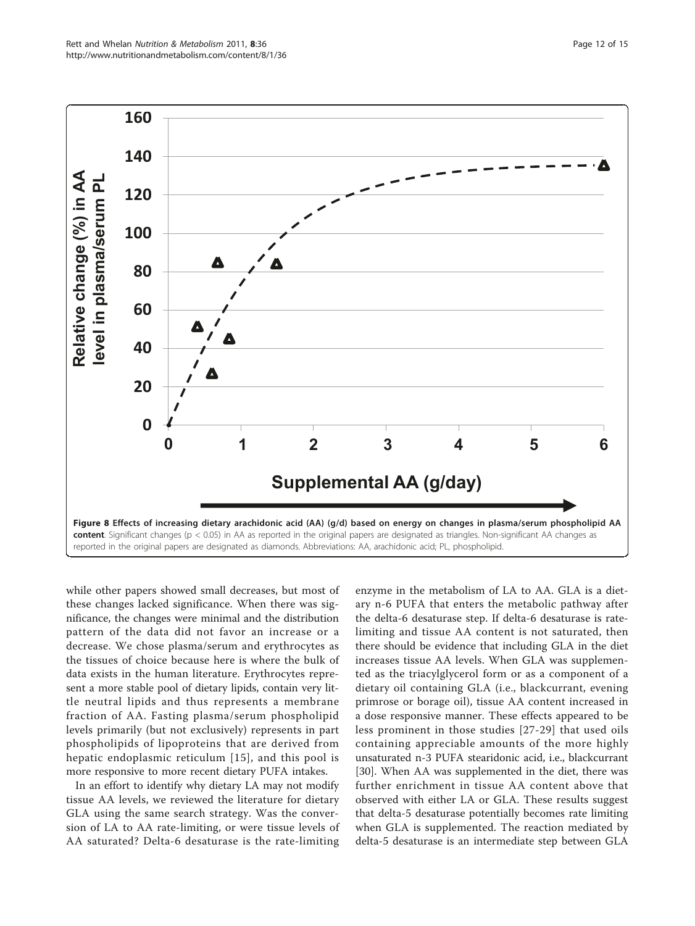<span id="page-11-0"></span>

while other papers showed small decreases, but most of these changes lacked significance. When there was significance, the changes were minimal and the distribution pattern of the data did not favor an increase or a decrease. We chose plasma/serum and erythrocytes as the tissues of choice because here is where the bulk of data exists in the human literature. Erythrocytes represent a more stable pool of dietary lipids, contain very little neutral lipids and thus represents a membrane fraction of AA. Fasting plasma/serum phospholipid levels primarily (but not exclusively) represents in part phospholipids of lipoproteins that are derived from hepatic endoplasmic reticulum [[15](#page-13-0)], and this pool is more responsive to more recent dietary PUFA intakes.

In an effort to identify why dietary LA may not modify tissue AA levels, we reviewed the literature for dietary GLA using the same search strategy. Was the conversion of LA to AA rate-limiting, or were tissue levels of AA saturated? Delta-6 desaturase is the rate-limiting

enzyme in the metabolism of LA to AA. GLA is a dietary n-6 PUFA that enters the metabolic pathway after the delta-6 desaturase step. If delta-6 desaturase is ratelimiting and tissue AA content is not saturated, then there should be evidence that including GLA in the diet increases tissue AA levels. When GLA was supplemented as the triacylglycerol form or as a component of a dietary oil containing GLA (i.e., blackcurrant, evening primrose or borage oil), tissue AA content increased in a dose responsive manner. These effects appeared to be less prominent in those studies [\[27-29\]](#page-13-0) that used oils containing appreciable amounts of the more highly unsaturated n-3 PUFA stearidonic acid, i.e., blackcurrant [[30\]](#page-13-0). When AA was supplemented in the diet, there was further enrichment in tissue AA content above that observed with either LA or GLA. These results suggest that delta-5 desaturase potentially becomes rate limiting when GLA is supplemented. The reaction mediated by delta-5 desaturase is an intermediate step between GLA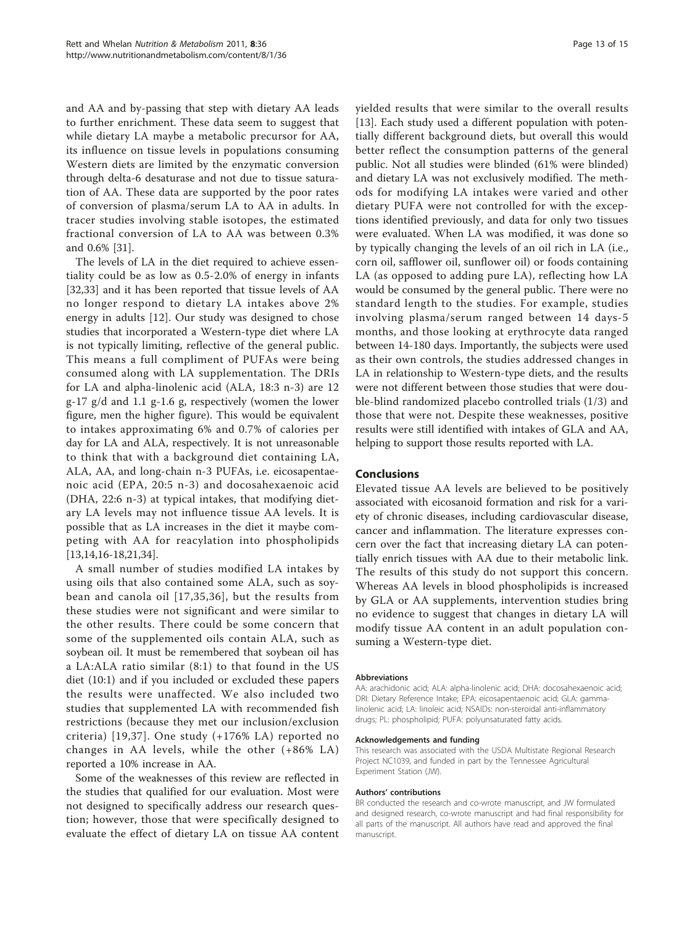and AA and by-passing that step with dietary AA leads to further enrichment. These data seem to suggest that while dietary LA maybe a metabolic precursor for AA, its influence on tissue levels in populations consuming Western diets are limited by the enzymatic conversion through delta-6 desaturase and not due to tissue saturation of AA. These data are supported by the poor rates of conversion of plasma/serum LA to AA in adults. In tracer studies involving stable isotopes, the estimated fractional conversion of LA to AA was between 0.3% and 0.6% [[31\]](#page-13-0).

The levels of LA in the diet required to achieve essentiality could be as low as 0.5-2.0% of energy in infants [[32,33\]](#page-13-0) and it has been reported that tissue levels of AA no longer respond to dietary LA intakes above 2% energy in adults [\[12](#page-13-0)]. Our study was designed to chose studies that incorporated a Western-type diet where LA is not typically limiting, reflective of the general public. This means a full compliment of PUFAs were being consumed along with LA supplementation. The DRIs for LA and alpha-linolenic acid (ALA, 18:3 n-3) are 12 g-17 g/d and 1.1 g-1.6 g, respectively (women the lower figure, men the higher figure). This would be equivalent to intakes approximating 6% and 0.7% of calories per day for LA and ALA, respectively. It is not unreasonable to think that with a background diet containing LA, ALA, AA, and long-chain n-3 PUFAs, i.e. eicosapentaenoic acid (EPA, 20:5 n-3) and docosahexaenoic acid (DHA, 22:6 n-3) at typical intakes, that modifying dietary LA levels may not influence tissue AA levels. It is possible that as LA increases in the diet it maybe competing with AA for reacylation into phospholipids [[13,14,16](#page-13-0)-[18,21,34\]](#page-13-0).

A small number of studies modified LA intakes by using oils that also contained some ALA, such as soybean and canola oil [[17](#page-13-0),[35,36\]](#page-13-0), but the results from these studies were not significant and were similar to the other results. There could be some concern that some of the supplemented oils contain ALA, such as soybean oil. It must be remembered that soybean oil has a LA:ALA ratio similar (8:1) to that found in the US diet (10:1) and if you included or excluded these papers the results were unaffected. We also included two studies that supplemented LA with recommended fish restrictions (because they met our inclusion/exclusion criteria) [[19,37\]](#page-13-0). One study (+176% LA) reported no changes in AA levels, while the other (+86% LA) reported a 10% increase in AA.

Some of the weaknesses of this review are reflected in the studies that qualified for our evaluation. Most were not designed to specifically address our research question; however, those that were specifically designed to evaluate the effect of dietary LA on tissue AA content yielded results that were similar to the overall results [[13\]](#page-13-0). Each study used a different population with potentially different background diets, but overall this would better reflect the consumption patterns of the general public. Not all studies were blinded (61% were blinded) and dietary LA was not exclusively modified. The methods for modifying LA intakes were varied and other dietary PUFA were not controlled for with the exceptions identified previously, and data for only two tissues were evaluated. When LA was modified, it was done so by typically changing the levels of an oil rich in LA (i.e., corn oil, safflower oil, sunflower oil) or foods containing LA (as opposed to adding pure LA), reflecting how LA would be consumed by the general public. There were no standard length to the studies. For example, studies involving plasma/serum ranged between 14 days-5 months, and those looking at erythrocyte data ranged between 14-180 days. Importantly, the subjects were used as their own controls, the studies addressed changes in LA in relationship to Western-type diets, and the results were not different between those studies that were double-blind randomized placebo controlled trials (1/3) and those that were not. Despite these weaknesses, positive results were still identified with intakes of GLA and AA, helping to support those results reported with LA.

# Conclusions

Elevated tissue AA levels are believed to be positively associated with eicosanoid formation and risk for a variety of chronic diseases, including cardiovascular disease, cancer and inflammation. The literature expresses concern over the fact that increasing dietary LA can potentially enrich tissues with AA due to their metabolic link. The results of this study do not support this concern. Whereas AA levels in blood phospholipids is increased by GLA or AA supplements, intervention studies bring no evidence to suggest that changes in dietary LA will modify tissue AA content in an adult population consuming a Western-type diet.

#### Abbreviations

AA: arachidonic acid; ALA: alpha-linolenic acid; DHA: docosahexaenoic acid; DRI: Dietary Reference Intake; EPA: eicosapentaenoic acid; GLA: gammalinolenic acid; LA: linoleic acid; NSAIDs: non-steroidal anti-inflammatory drugs; PL: phospholipid; PUFA: polyunsaturated fatty acids.

#### Acknowledgements and funding

This research was associated with the USDA Multistate Regional Research Project NC1039, and funded in part by the Tennessee Agricultural Experiment Station (JW).

#### Authors' contributions

BR conducted the research and co-wrote manuscript, and JW formulated and designed research, co-wrote manuscript and had final responsibility for all parts of the manuscript. All authors have read and approved the final manuscript.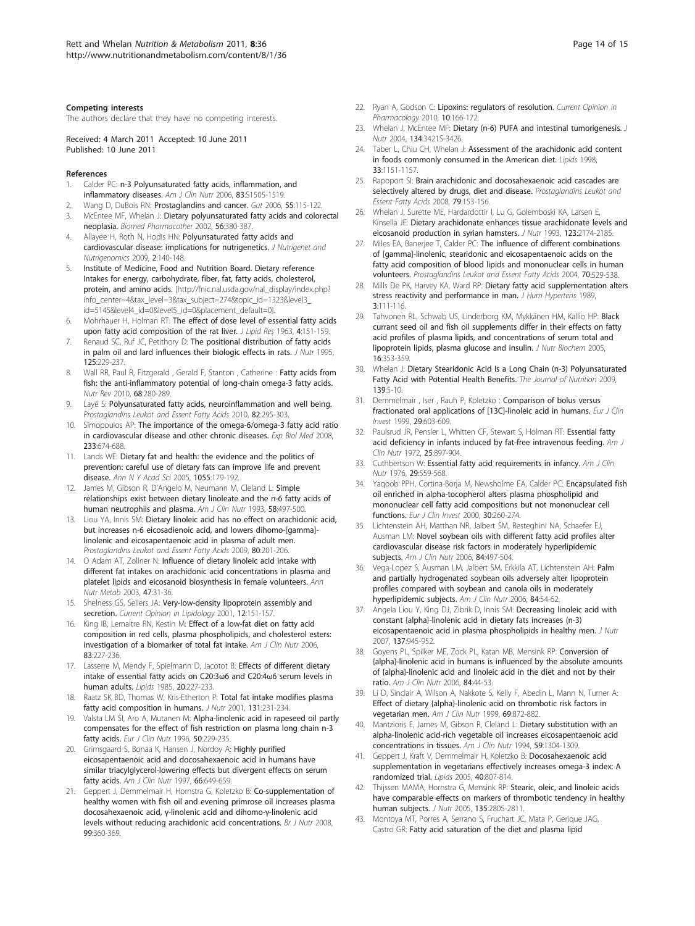#### <span id="page-13-0"></span>Competing interests

The authors declare that they have no competing interests.

Received: 4 March 2011 Accepted: 10 June 2011 Published: 10 June 2011

#### References

- 1. Calder PC: n-3 Polyunsaturated fatty acids, inflammation, and inflammatory diseases. Am J Clin Nutr 2006, 83:S1505-1519.
- 2. Wang D, DuBois RN: [Prostaglandins and cancer.](http://www.ncbi.nlm.nih.gov/pubmed/16118353?dopt=Abstract) Gut 2006, 55:115-122.
- McEntee MF, Whelan J: [Dietary polyunsaturated fatty acids and colorectal](http://www.ncbi.nlm.nih.gov/pubmed/12442910?dopt=Abstract) [neoplasia.](http://www.ncbi.nlm.nih.gov/pubmed/12442910?dopt=Abstract) Biomed Pharmacother 2002, 56:380-387.
- 4. Allayee H, Roth N, Hodis HN: Polyunsaturated fatty acids and cardiovascular disease: implications for nutrigenetics. J Nutrigenet and Nutrigenomics 2009, 2:140-148.
- Institute of Medicine, Food and Nutrition Board. Dietary reference Intakes for energy, carbohydrate, fiber, fat, fatty acids, cholesterol, protein, and amino acids. [\[http://fnic.nal.usda.gov/nal\\_display/index.php?](http://fnic.nal.usda.gov/nal_display/index.php?info_center=4&tax_level=3&tax_subject=274&topic_id=1323&level3_id=5145&level4_id=0&level5_id=0&placement_default=0) [info\\_center=4&tax\\_level=3&tax\\_subject=274&topic\\_id=1323&level3\\_](http://fnic.nal.usda.gov/nal_display/index.php?info_center=4&tax_level=3&tax_subject=274&topic_id=1323&level3_id=5145&level4_id=0&level5_id=0&placement_default=0) [id=5145&level4\\_id=0&level5\\_id=0&placement\\_default=0\]](http://fnic.nal.usda.gov/nal_display/index.php?info_center=4&tax_level=3&tax_subject=274&topic_id=1323&level3_id=5145&level4_id=0&level5_id=0&placement_default=0).
- 6. Mohrhauer H, Holman RT: [The effect of dose level of essential fatty acids](http://www.ncbi.nlm.nih.gov/pubmed/14168145?dopt=Abstract) [upon fatty acid composition of the rat liver.](http://www.ncbi.nlm.nih.gov/pubmed/14168145?dopt=Abstract) J Lipid Res 1963, 4:151-159.
- 7. Renaud SC, Ruf JC, Petithory D: [The positional distribution of fatty acids](http://www.ncbi.nlm.nih.gov/pubmed/7861250?dopt=Abstract) [in palm oil and lard influences their biologic effects in rats.](http://www.ncbi.nlm.nih.gov/pubmed/7861250?dopt=Abstract) J Nutr 1995, 125:229-237.
- 8. Wall RR, Paul R, Fitzgerald , Gerald F, Stanton , Catherine : [Fatty acids from](http://www.ncbi.nlm.nih.gov/pubmed/20500789?dopt=Abstract) [fish: the anti-inflammatory potential of long-chain omega-3 fatty acids.](http://www.ncbi.nlm.nih.gov/pubmed/20500789?dopt=Abstract) Nutr Rev 2010, 68:280-289.
- Layé S: Polyunsaturated fatty acids, neuroinflammation and well being. Prostaglandins Leukot and Essent Fatty Acids 2010, 82:295-303.
- 10. Simopoulos AP: The importance of the omega-6/omega-3 fatty acid ratio in cardiovascular disease and other chronic diseases. Exp Biol Med 2008, 233:674-688.
- 11. Lands WE: [Dietary fat and health: the evidence and the politics of](http://www.ncbi.nlm.nih.gov/pubmed/16387724?dopt=Abstract) [prevention: careful use of dietary fats can improve life and prevent](http://www.ncbi.nlm.nih.gov/pubmed/16387724?dopt=Abstract) [disease.](http://www.ncbi.nlm.nih.gov/pubmed/16387724?dopt=Abstract) Ann N Y Acad Sci 2005, 1055:179-192.
- 12. James M, Gibson R, D'Angelo M, Neumann M, Cleland L: [Simple](http://www.ncbi.nlm.nih.gov/pubmed/8379505?dopt=Abstract) [relationships exist between dietary linoleate and the n-6 fatty acids of](http://www.ncbi.nlm.nih.gov/pubmed/8379505?dopt=Abstract) [human neutrophils and plasma.](http://www.ncbi.nlm.nih.gov/pubmed/8379505?dopt=Abstract) Am J Clin Nutr 1993, 58:497-500.
- 13. Liou YA, Innis SM: Dietary linoleic acid has no effect on arachidonic acid, but increases n-6 eicosadienoic acid, and lowers dihomo-[gamma] linolenic and eicosapentaenoic acid in plasma of adult men. Prostaglandins Leukot and Essent Fatty Acids 2009, 80:201-206.
- 14. O Adam AT, Zollner N: [Influence of dietary linoleic acid intake with](http://www.ncbi.nlm.nih.gov/pubmed/12624485?dopt=Abstract) [different fat intakes on arachidonic acid concentrations in plasma and](http://www.ncbi.nlm.nih.gov/pubmed/12624485?dopt=Abstract) [platelet lipids and eicosanoid biosynthesis in female volunteers.](http://www.ncbi.nlm.nih.gov/pubmed/12624485?dopt=Abstract) Ann Nutr Metab 2003, 47:31-36.
- 15. Shelness GS, Sellers JA: [Very-low-density lipoprotein assembly and](http://www.ncbi.nlm.nih.gov/pubmed/11264986?dopt=Abstract) [secretion.](http://www.ncbi.nlm.nih.gov/pubmed/11264986?dopt=Abstract) Current Opinion in Lipidology 2001, 12:151-157.
- 16. King IB, Lemaitre RN, Kestin M: [Effect of a low-fat diet on fatty acid](http://www.ncbi.nlm.nih.gov/pubmed/16469979?dopt=Abstract) [composition in red cells, plasma phospholipids, and cholesterol esters:](http://www.ncbi.nlm.nih.gov/pubmed/16469979?dopt=Abstract) [investigation of a biomarker of total fat intake.](http://www.ncbi.nlm.nih.gov/pubmed/16469979?dopt=Abstract) Am J Clin Nutr 2006, 83:227-236.
- 17. Lasserre M, Mendy F, Spielmann D, Jacotot B: [Effects of different dietary](http://www.ncbi.nlm.nih.gov/pubmed/2860553?dopt=Abstract) [intake of essential fatty acids on C20:3](http://www.ncbi.nlm.nih.gov/pubmed/2860553?dopt=Abstract)ω6 and C20:4ω6 serum levels in [human adults.](http://www.ncbi.nlm.nih.gov/pubmed/2860553?dopt=Abstract) Lipids 1985, 20:227-233.
- Raatz SK BD, Thomas W, Kris-Etherton P: [Total fat intake modifies plasma](http://www.ncbi.nlm.nih.gov/pubmed/11160538?dopt=Abstract) [fatty acid composition in humans.](http://www.ncbi.nlm.nih.gov/pubmed/11160538?dopt=Abstract) J Nutr 2001, 131:231-234.
- 19. Valsta LM SI, Aro A, Mutanen M: [Alpha-linolenic acid in rapeseed oil partly](http://www.ncbi.nlm.nih.gov/pubmed/8730609?dopt=Abstract) [compensates for the effect of fish restriction on plasma long chain n-3](http://www.ncbi.nlm.nih.gov/pubmed/8730609?dopt=Abstract) [fatty acids.](http://www.ncbi.nlm.nih.gov/pubmed/8730609?dopt=Abstract) Eur J Clin Nutr 1996, 50:229-235.
- 20. Grimsgaard S, Bonaa K, Hansen J, Nordoy A: [Highly purified](http://www.ncbi.nlm.nih.gov/pubmed/9280188?dopt=Abstract) [eicosapentaenoic acid and docosahexaenoic acid in humans have](http://www.ncbi.nlm.nih.gov/pubmed/9280188?dopt=Abstract) [similar triacylglycerol-lowering effects but divergent effects on serum](http://www.ncbi.nlm.nih.gov/pubmed/9280188?dopt=Abstract) [fatty acids.](http://www.ncbi.nlm.nih.gov/pubmed/9280188?dopt=Abstract) Am J Clin Nutr 1997, 66:649-659.
- 21. Geppert J, Demmelmair H, Hornstra G, Koletzko B: [Co-supplementation of](http://www.ncbi.nlm.nih.gov/pubmed/17678567?dopt=Abstract) [healthy women with fish oil and evening primrose oil increases plasma](http://www.ncbi.nlm.nih.gov/pubmed/17678567?dopt=Abstract) docosahexaenoic acid, γ[-linolenic acid and dihomo-](http://www.ncbi.nlm.nih.gov/pubmed/17678567?dopt=Abstract)γ-linolenic acid [levels without reducing arachidonic acid concentrations.](http://www.ncbi.nlm.nih.gov/pubmed/17678567?dopt=Abstract) Br J Nutr 2008, 99:360-369.
- 22. Ryan A, Godson C: [Lipoxins: regulators of resolution.](http://www.ncbi.nlm.nih.gov/pubmed/20226737?dopt=Abstract) Current Opinion in Pharmacology 2010, 10:166-172.
- 23. Whelan J, McEntee MF: [Dietary \(n-6\) PUFA and intestinal tumorigenesis.](http://www.ncbi.nlm.nih.gov/pubmed/15570048?dopt=Abstract) J Nutr 2004, 134:3421S-3426.
- 24. Taber L, Chiu CH, Whelan J: [Assessment of the arachidonic acid content](http://www.ncbi.nlm.nih.gov/pubmed/9930399?dopt=Abstract) [in foods commonly consumed in the American diet.](http://www.ncbi.nlm.nih.gov/pubmed/9930399?dopt=Abstract) Lipids 1998, 33:1151-1157.
- 25. Rapoport SI: Brain arachidonic and docosahexaenoic acid cascades are selectively altered by drugs, diet and disease. Prostaglandins Leukot and Essent Fatty Acids 2008, 79:153-156.
- 26. Whelan J, Surette ME, Hardardottir I, Lu G, Golemboski KA, Larsen E, Kinsella JE: [Dietary arachidonate enhances tissue arachidonate levels and](http://www.ncbi.nlm.nih.gov/pubmed/8263613?dopt=Abstract) [eicosanoid production in syrian hamsters.](http://www.ncbi.nlm.nih.gov/pubmed/8263613?dopt=Abstract) J Nutr 1993, 123:2174-2185.
- 27. Miles EA, Banerjee T, Calder PC: The influence of different combinations of [gamma]-linolenic, stearidonic and eicosapentaenoic acids on the fatty acid composition of blood lipids and mononuclear cells in human volunteers. Prostaglandins Leukot and Essent Fatty Acids 2004, 70:529-538.
- 28. Mills De PK, Harvey KA, Ward RP: [Dietary fatty acid supplementation alters](http://www.ncbi.nlm.nih.gov/pubmed/2760908?dopt=Abstract) [stress reactivity and performance in man.](http://www.ncbi.nlm.nih.gov/pubmed/2760908?dopt=Abstract) J Hum Hypertens 1989, 3:111-116.
- 29. Tahvonen RL, Schwab US, Linderborg KM, Mykkänen HM, Kallio HP: [Black](http://www.ncbi.nlm.nih.gov/pubmed/15936647?dopt=Abstract) [currant seed oil and fish oil supplements differ in their effects on fatty](http://www.ncbi.nlm.nih.gov/pubmed/15936647?dopt=Abstract) [acid profiles of plasma lipids, and concentrations of serum total and](http://www.ncbi.nlm.nih.gov/pubmed/15936647?dopt=Abstract) [lipoprotein lipids, plasma glucose and insulin.](http://www.ncbi.nlm.nih.gov/pubmed/15936647?dopt=Abstract) J Nutr Biochem 2005, 16:353-359.
- 30. Whelan J: [Dietary Stearidonic Acid Is a Long Chain \(n-3\) Polyunsaturated](http://www.ncbi.nlm.nih.gov/pubmed/19056654?dopt=Abstract) [Fatty Acid with Potential Health Benefits.](http://www.ncbi.nlm.nih.gov/pubmed/19056654?dopt=Abstract) The Journal of Nutrition 2009, 139:5-10.
- 31. Demmelmair , Iser , Rauh P, Koletzko : [Comparison of bolus versus](http://www.ncbi.nlm.nih.gov/pubmed/10411666?dopt=Abstract) [fractionated oral applications of \[13C\]-linoleic acid in humans.](http://www.ncbi.nlm.nih.gov/pubmed/10411666?dopt=Abstract) Eur J Clin Invest 1999, 29:603-609.
- 32. Paulsrud JR, Pensler L, Whitten CF, Stewart S, Holman RT: [Essential fatty](http://www.ncbi.nlm.nih.gov/pubmed/4626563?dopt=Abstract) [acid deficiency in infants induced by fat-free intravenous feeding.](http://www.ncbi.nlm.nih.gov/pubmed/4626563?dopt=Abstract) Am J Clin Nutr 1972, 25:897-904.
- 33. Cuthbertson W: [Essential fatty acid requirements in infancy.](http://www.ncbi.nlm.nih.gov/pubmed/773167?dopt=Abstract) Am J Clin Nutr 1976, 29:559-568.
- 34. Yaqoob PPH, Cortina-Borja M, Newsholme EA, Calder PC: [Encapsulated fish](http://www.ncbi.nlm.nih.gov/pubmed/10692004?dopt=Abstract) [oil enriched in alpha-tocopherol alters plasma phospholipid and](http://www.ncbi.nlm.nih.gov/pubmed/10692004?dopt=Abstract) [mononuclear cell fatty acid compositions but not mononuclear cell](http://www.ncbi.nlm.nih.gov/pubmed/10692004?dopt=Abstract) [functions.](http://www.ncbi.nlm.nih.gov/pubmed/10692004?dopt=Abstract) Eur J Clin Invest 2000, 30:260-274.
- 35. Lichtenstein AH, Matthan NR, Jalbert SM, Resteghini NA, Schaefer EJ, Ausman LM: [Novel soybean oils with different fatty acid profiles alter](http://www.ncbi.nlm.nih.gov/pubmed/16960162?dopt=Abstract) [cardiovascular disease risk factors in moderately hyperlipidemic](http://www.ncbi.nlm.nih.gov/pubmed/16960162?dopt=Abstract) [subjects.](http://www.ncbi.nlm.nih.gov/pubmed/16960162?dopt=Abstract) Am J Clin Nutr 2006, 84:497-504.
- 36. Vega-Lopez S, Ausman LM, Jalbert SM, Erkkila AT, Lichtenstein AH: [Palm](http://www.ncbi.nlm.nih.gov/pubmed/16825681?dopt=Abstract) [and partially hydrogenated soybean oils adversely alter lipoprotein](http://www.ncbi.nlm.nih.gov/pubmed/16825681?dopt=Abstract) [profiles compared with soybean and canola oils in moderately](http://www.ncbi.nlm.nih.gov/pubmed/16825681?dopt=Abstract) [hyperlipidemic subjects.](http://www.ncbi.nlm.nih.gov/pubmed/16825681?dopt=Abstract) Am J Clin Nutr 2006, 84:54-62.
- 37. Angela Liou Y, King DJ, Zibrik D, Innis SM: [Decreasing linoleic acid with](http://www.ncbi.nlm.nih.gov/pubmed/17374659?dopt=Abstract) [constant {alpha}-linolenic acid in dietary fats increases \(n-3\)](http://www.ncbi.nlm.nih.gov/pubmed/17374659?dopt=Abstract) [eicosapentaenoic acid in plasma phospholipids in healthy men.](http://www.ncbi.nlm.nih.gov/pubmed/17374659?dopt=Abstract) J Nutr 2007, 137:945-952.
- 38. Goyens PL, Spilker ME, Zock PL, Katan MB, Mensink RP: [Conversion of](http://www.ncbi.nlm.nih.gov/pubmed/16825680?dopt=Abstract) [{alpha}-linolenic acid in humans is influenced by the absolute amounts](http://www.ncbi.nlm.nih.gov/pubmed/16825680?dopt=Abstract) [of {alpha}-linolenic acid and linoleic acid in the diet and not by their](http://www.ncbi.nlm.nih.gov/pubmed/16825680?dopt=Abstract) [ratio.](http://www.ncbi.nlm.nih.gov/pubmed/16825680?dopt=Abstract) Am J Clin Nutr 2006, 84:44-53.
- 39. Li D, Sinclair A, Wilson A, Nakkote S, Kelly F, Abedin L, Mann N, Turner A: [Effect of dietary {alpha}-linolenic acid on thrombotic risk factors in](http://www.ncbi.nlm.nih.gov/pubmed/10232625?dopt=Abstract) [vegetarian men.](http://www.ncbi.nlm.nih.gov/pubmed/10232625?dopt=Abstract) Am J Clin Nutr 1999, 69:872-882.
- 40. Mantzioris E, James M, Gibson R, Cleland L: [Dietary substitution with an](http://www.ncbi.nlm.nih.gov/pubmed/7910999?dopt=Abstract) [alpha-linolenic acid-rich vegetable oil increases eicosapentaenoic acid](http://www.ncbi.nlm.nih.gov/pubmed/7910999?dopt=Abstract) [concentrations in tissues.](http://www.ncbi.nlm.nih.gov/pubmed/7910999?dopt=Abstract) Am J Clin Nutr 1994, 59:1304-1309.
- 41. Geppert J, Kraft V, Demmelmair H, Koletzko B: [Docosahexaenoic acid](http://www.ncbi.nlm.nih.gov/pubmed/16296399?dopt=Abstract) [supplementation in vegetarians effectively increases omega-3 index: A](http://www.ncbi.nlm.nih.gov/pubmed/16296399?dopt=Abstract) [randomized trial.](http://www.ncbi.nlm.nih.gov/pubmed/16296399?dopt=Abstract) Lipids 2005, 40:807-814.
- 42. Thijssen MAMA, Hornstra G, Mensink RP: [Stearic, oleic, and linoleic acids](http://www.ncbi.nlm.nih.gov/pubmed/16317124?dopt=Abstract) [have comparable effects on markers of thrombotic tendency in healthy](http://www.ncbi.nlm.nih.gov/pubmed/16317124?dopt=Abstract) [human subjects.](http://www.ncbi.nlm.nih.gov/pubmed/16317124?dopt=Abstract) J Nutr 2005, 135:2805-2811
- 43. Montoya MT, Porres A, Serrano S, Fruchart JC, Mata P, Gerique JAG, Castro GR: [Fatty acid saturation of the diet and plasma lipid](http://www.ncbi.nlm.nih.gov/pubmed/11864853?dopt=Abstract)